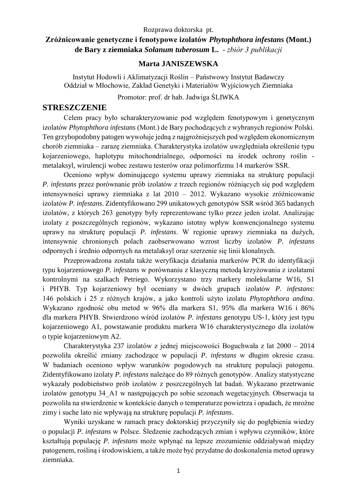#### Rozprawa doktorska pt.

## **Zróżnicowanie genetyczne i fenotypowe izolatów** *Phytophthora infestans* **(Mont.) de Bary z ziemniaka** *Solanum tuberosum* **L.** *- zbiór 3 publikacji*

### **Marta JANISZEWSKA**

Instytut Hodowli i Aklimatyzacji Roślin – Państwowy Instytut Badawczy Oddział w Młochowie, Zakład Genetyki i Materiałów Wyjściowych Ziemniaka

Promotor: prof. dr hab. Jadwiga ŚLIWKA

## **STRESZCZENIE**

Celem pracy było scharakteryzowanie pod względem fenotypowym i genetycznym izolatów *Phytophthora infestans* (Mont.) de Bary pochodzących z wybranych regionów Polski. Ten grzybopodobny patogen wywołuje jedną z najgroźniejszych pod względem ekonomicznym chorób ziemniaka – zarazę ziemniaka. Charakterystyka izolatów uwzględniała określenie typu kojarzeniowego, haplotypu mitochondrialnego, odporności na środek ochrony roślin metalaksyl, wirulencji wobec zestawu testerów oraz polimorfizmu 14 markerów SSR.

Oceniono wpływ dominującego systemu uprawy ziemniaka na strukturę populacji *P. infestans* przez porównanie prób izolatów z trzech regionów różniących się pod względem intensywności uprawy ziemniaka z lat 2010 – 2012. Wykazano wysokie zróżnicowanie izolatów *P. infestans*. Zidentyfikowano 299 unikatowych genotypów SSR wśród 365 badanych izolatów, z których 263 genotypy były reprezentowane tylko przez jeden izolat. Analizując izolaty z poszczególnych regionów, wykazano istotny wpływ konwencjonalnego systemu uprawy na strukturę populacji *P. infestans*. W regionie uprawy ziemniaka na dużych, intensywnie chronionych polach zaobserwowano wzrost liczby izolatów *P. infestans* odpornych i średnio odpornych na metalaksyl oraz szerzenie się linii klonalnych.

Przeprowadzona została także weryfikacja działania markerów PCR do identyfikacji typu kojarzeniowego *P. infestans* w porównaniu z klasyczną metodą krzyżowania z izolatami kontrolnymi na szalkach Petriego. Wykorzystano trzy markery molekularne W16, S1 i PHYB. Typ kojarzeniowy był oceniany w dwóch grupach izolatów *P. infestans*: 146 polskich i 25 z różnych krajów, a jako kontroli użyto izolatu *Phytophthora andina*. Wykazano zgodność obu metod w 96% dla markera S1, 95% dla markera W16 i 86% dla markera PHYB. Stwierdzono wśród izolatów *P. infestans* genotypu US-1, który jest typu kojarzeniowego A1, powstawanie produktu markera W16 charakterystycznego dla izolatów o typie kojarzeniowym A2.

Charakterystyka 237 izolatów z jednej miejscowości Boguchwała z lat 2000 – 2014 pozwoliła określić zmiany zachodzące w populacji *P. infestans* w długim okresie czasu. W badaniach oceniono wpływ warunków pogodowych na strukturę populacji patogenu. Zidentyfikowano izolaty *P. infestans* należące do 89 różnych genotypów. Analizy statystyczne wykazały podobieństwo prób izolatów z poszczególnych lat badań. Wykazano przetrwanie izolatów genotypu 34\_A1 w następujących po sobie sezonach wegetacyjnych. Obserwacja ta pozwoliła na stwierdzenie w kontekście danych o temperaturze powietrza i opadach, że mroźne zimy i suche lato nie wpływają na strukturę populacji *P. infestans*.

Wyniki uzyskane w ramach pracy doktorskiej przyczyniły się do pogłębienia wiedzy o populacji *P. infestans* w Polsce. Śledzenie zachodzących zmian i wpływu czynników, które kształtują populację *P. infestans* może wpłynąć na lepsze zrozumienie oddziaływań między patogenem, rośliną i środowiskiem, a także może być przydatne do doskonalenia metod uprawy ziemniaka.